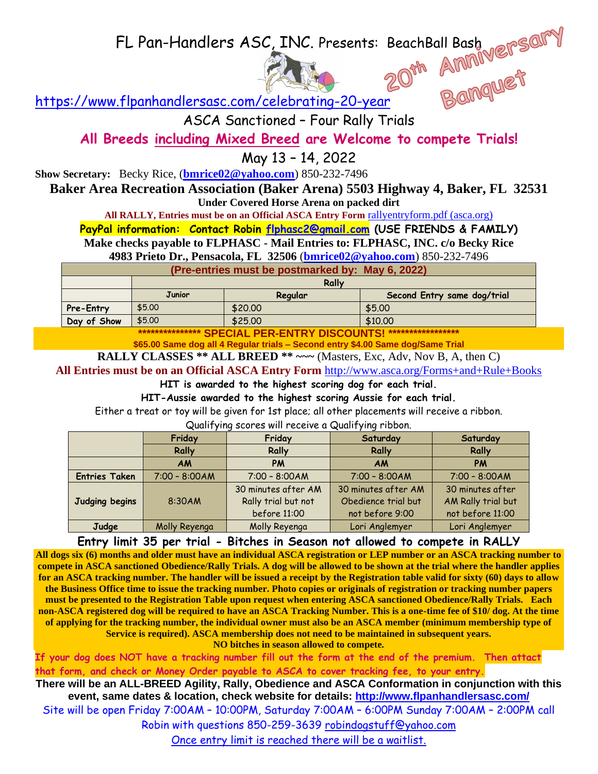FL Pan-Handlers ASC, INC. Presents: BeachBall Bash



<https://www.flpanhandlersasc.com/celebrating-20-year>

ASCA Sanctioned – Four Rally Trials

**All Breeds including Mixed Breed are Welcome to compete Trials!**

May 13 – 14, 2022

**Show Secretary:** Becky Rice, (**[bmrice02@yahoo.com](mailto:bmrice02@yahoo.com)**) 850-232-7496

**Baker Area Recreation Association (Baker Arena) 5503 Highway 4, Baker, FL 32531 Under Covered Horse Arena on packed dirt**

**All RALLY, Entries must be on an Official ASCA Entry Form** [rallyentryform.pdf \(asca.org\)](https://asca.org/wp-content/uploads/2016/04/rallyentryform.pdf)

**PayPal information: Contact Robin [flphasc2@gmail.com](mailto:flphasc2@gmail.com) (USE FRIENDS & FAMILY)**

**Make checks payable to FLPHASC - Mail Entries to: FLPHASC, INC. c/o Becky Rice** 

**4983 Prieto Dr., Pensacola, FL 32506** (**[bmrice02@yahoo.com](mailto:bmrice02@yahoo.com)**) 850-232-7496

**(Pre-entries must be postmarked by: May 6, 2022)**

|             | Rally         |         |                             |  |
|-------------|---------------|---------|-----------------------------|--|
|             | <b>Junior</b> | Regular | Second Entry same dog/trial |  |
| Pre-Entry   | \$5.00        | \$20,00 | \$5.00                      |  |
| Day of Show | \$5.00        | \$25.00 | \$10,00                     |  |

**\*\*\*\*\*\*\*\*\*\*\*\*\*\*\* SPECIAL PER-ENTRY DISCOUNTS! \*\*\*\*\*\*\*\*\*\*\*\*\*\*\*\*\***

**\$65.00 Same dog all 4 Regular trials – Second entry \$4.00 Same dog/Same Trial**

**RALLY CLASSES \*\* ALL BREED \*\* ~~~** (Masters, Exc, Adv, Nov B, A, then C)

**All Entries must be on an Official ASCA Entry Form** http://www.asca.org/Forms+and+Rule+Books

**HIT is awarded to the highest scoring dog for each trial.**

**HIT-Aussie awarded to the highest scoring Aussie for each trial.**

Either a treat or toy will be given for 1st place; all other placements will receive a ribbon.

Qualifying scores will receive a Qualifying ribbon.

|                      | Friday          | Friday                                                     | Saturday                                                      | Saturday                                                   |
|----------------------|-----------------|------------------------------------------------------------|---------------------------------------------------------------|------------------------------------------------------------|
|                      | <b>Rally</b>    | Rally                                                      | Rally                                                         | Rally                                                      |
|                      | <b>AM</b>       | PM                                                         | <b>AM</b>                                                     | <b>PM</b>                                                  |
| <b>Entries Taken</b> | $7:00 - 8:00AM$ | $7:00 - 8:00AM$                                            | $7:00 - 8:00AM$                                               | $7:00 - 8:00AM$                                            |
| Judging begins       | 8:30AM          | 30 minutes after AM<br>Rally trial but not<br>before 11:00 | 30 minutes after AM<br>Obedience trial but<br>not before 9:00 | 30 minutes after<br>AM Rally trial but<br>not before 11:00 |
| Judge                | Molly Reyenga   | Molly Reyenga                                              | Lori Anglemyer                                                | Lori Anglemyer                                             |

**Entry limit 35 per trial - Bitches in Season not allowed to compete in RALLY**

**All dogs six (6) months and older must have an individual ASCA registration or LEP number or an ASCA tracking number to compete in ASCA sanctioned Obedience/Rally Trials. A dog will be allowed to be shown at the trial where the handler applies for an ASCA tracking number. The handler will be issued a receipt by the Registration table valid for sixty (60) days to allow the Business Office time to issue the tracking number. Photo copies or originals of registration or tracking number papers must be presented to the Registration Table upon request when entering ASCA sanctioned Obedience/Rally Trials. Each non-ASCA registered dog will be required to have an ASCA Tracking Number. This is a one-time fee of \$10/ dog. At the time of applying for the tracking number, the individual owner must also be an ASCA member (minimum membership type of Service is required). ASCA membership does not need to be maintained in subsequent years.** 

**NO bitches in season allowed to compete.** 

**If your dog does NOT have a tracking number fill out the form at the end of the premium. Then attact that form, and check or Money Order payable to ASCA to cover tracking fee, to your entry.**

**There will be an ALL-BREED Agility, Rally, Obedience and ASCA Conformation in conjunction with this event, same dates & location, check website for details:<http://www.flpanhandlersasc.com/>**

Site will be open Friday 7:00AM – 10:00PM, Saturday 7:00AM – 6:00PM Sunday 7:00AM – 2:00PM call

Robin with questions 850-259-3639 [robindogstuff@yahoo.com](mailto:robindogstuff@yahoo.com)

Once entry limit is reached there will be a waitlist.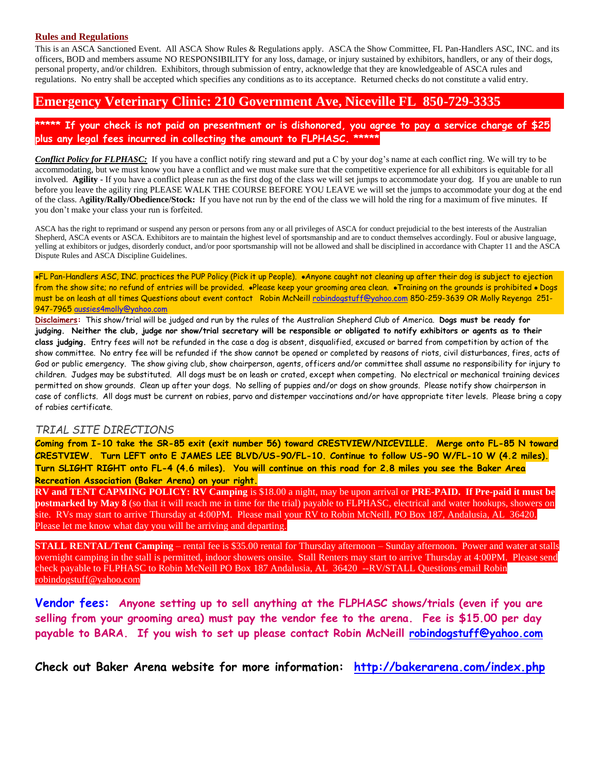## **Rules and Regulations**

This is an ASCA Sanctioned Event. All ASCA Show Rules & Regulations apply. ASCA the Show Committee, FL Pan-Handlers ASC, INC. and its officers, BOD and members assume NO RESPONSIBILITY for any loss, damage, or injury sustained by exhibitors, handlers, or any of their dogs, personal property, and/or children. Exhibitors, through submission of entry, acknowledge that they are knowledgeable of ASCA rules and regulations. No entry shall be accepted which specifies any conditions as to its acceptance. Returned checks do not constitute a valid entry.

## **Emergency Veterinary Clinic: 210 Government Ave, Niceville FL 850-729-3335**

**\*\*\*\*\* If your check is not paid on presentment or is dishonored, you agree to pay a service charge of \$25 plus any legal fees incurred in collecting the amount to FLPHASC. \*\*\*\*\***

*Conflict Policy for FLPHASC:* If you have a conflict notify ring steward and put a C by your dog's name at each conflict ring. We will try to be accommodating, but we must know you have a conflict and we must make sure that the competitive experience for all exhibitors is equitable for all involved. **Agility -** If you have a conflict please run as the first dog of the class we will set jumps to accommodate your dog. If you are unable to run before you leave the agility ring PLEASE WALK THE COURSE BEFORE YOU LEAVE we will set the jumps to accommodate your dog at the end of the class. A**gility/Rally/Obedience/Stock:** If you have not run by the end of the class we will hold the ring for a maximum of five minutes. If you don't make your class your run is forfeited.

ASCA has the right to reprimand or suspend any person or persons from any or all privileges of ASCA for conduct prejudicial to the best interests of the Australian Shepherd, ASCA events or ASCA. Exhibitors are to maintain the highest level of sportsmanship and are to conduct themselves accordingly. Foul or abusive language, yelling at exhibitors or judges, disorderly conduct, and/or poor sportsmanship will not be allowed and shall be disciplined in accordance with Chapter 11 and the ASCA Dispute Rules and ASCA Discipline Guidelines.

•FL Pan-Handlers ASC, INC. practices the PUP Policy (Pick it up People). •Anyone caught not cleaning up after their dog is subject to ejection from the show site; no refund of entries will be provided. •Please keep your grooming area clean. •Training on the grounds is prohibited • Dogs must be on leash at all times Questions about event contact Robin McNeill [robindogstuff@yahoo.com](mailto:robindogstuff@cox.net) 850-259-3639 OR Molly Reyenga 251- 947-7965 [aussies4molly@yahoo.com](mailto:aussies4molly@yahoo.com)

**Disclaimers:** This show/trial will be judged and run by the rules of the Australian Shepherd Club of America. **Dogs must be ready for judging. Neither the club, judge nor show/trial secretary will be responsible or obligated to notify exhibitors or agents as to their class judging.** Entry fees will not be refunded in the case a dog is absent, disqualified, excused or barred from competition by action of the show committee. No entry fee will be refunded if the show cannot be opened or completed by reasons of riots, civil disturbances, fires, acts of God or public emergency. The show giving club, show chairperson, agents, officers and/or committee shall assume no responsibility for injury to children. Judges may be substituted. All dogs must be on leash or crated, except when competing. No electrical or mechanical training devices permitted on show grounds. Clean up after your dogs. No selling of puppies and/or dogs on show grounds. Please notify show chairperson in case of conflicts. All dogs must be current on rabies, parvo and distemper vaccinations and/or have appropriate titer levels. Please bring a copy of rabies certificate.

## *TRIAL SITE DIRECTIONS*

**Coming from I-10 take the SR-85 exit (exit number 56) toward CRESTVIEW/NICEVILLE. Merge onto FL-85 N toward CRESTVIEW. Turn LEFT onto E JAMES LEE BLVD/US-90/FL-10. Continue to follow US-90 W/FL-10 W (4.2 miles). Turn SLIGHT RIGHT onto FL-4 (4.6 miles). You will continue on this road for 2.8 miles you see the Baker Area Recreation Association (Baker Arena) on your right.**

**RV and TENT CAPMING POLICY: RV Camping** is \$18.00 a night, may be upon arrival or **PRE-PAID. If Pre-paid it must be postmarked by May 8** (so that it will reach me in time for the trial) payable to FLPHASC, electrical and water hookups, showers on site. RVs may start to arrive Thursday at 4:00PM. Please mail your RV to Robin McNeill, PO Box 187, Andalusia, AL 36420. Please let me know what day you will be arriving and departing.

**STALL RENTAL/Tent Camping** – rental fee is \$35.00 rental for Thursday afternoon – Sunday afternoon. Power and water at stalls overnight camping in the stall is permitted, indoor showers onsite. Stall Renters may start to arrive Thursday at 4:00PM. Please send check payable to FLPHASC to Robin McNeill PO Box 187 Andalusia, AL 36420 --RV/STALL Questions email Robin [robindogstuff@yahoo.com](mailto:robindogstuff@yahoo.com)

**Vendor fees: Anyone setting up to sell anything at the FLPHASC shows/trials (even if you are selling from your grooming area) must pay the vendor fee to the arena. Fee is \$15.00 per day payable to BARA. If you wish to set up please contact Robin McNeill [robindogstuff@yahoo.com](mailto:robindogstuff@yahoo.com)**

**Check out Baker Arena website for more information: <http://bakerarena.com/index.php>**